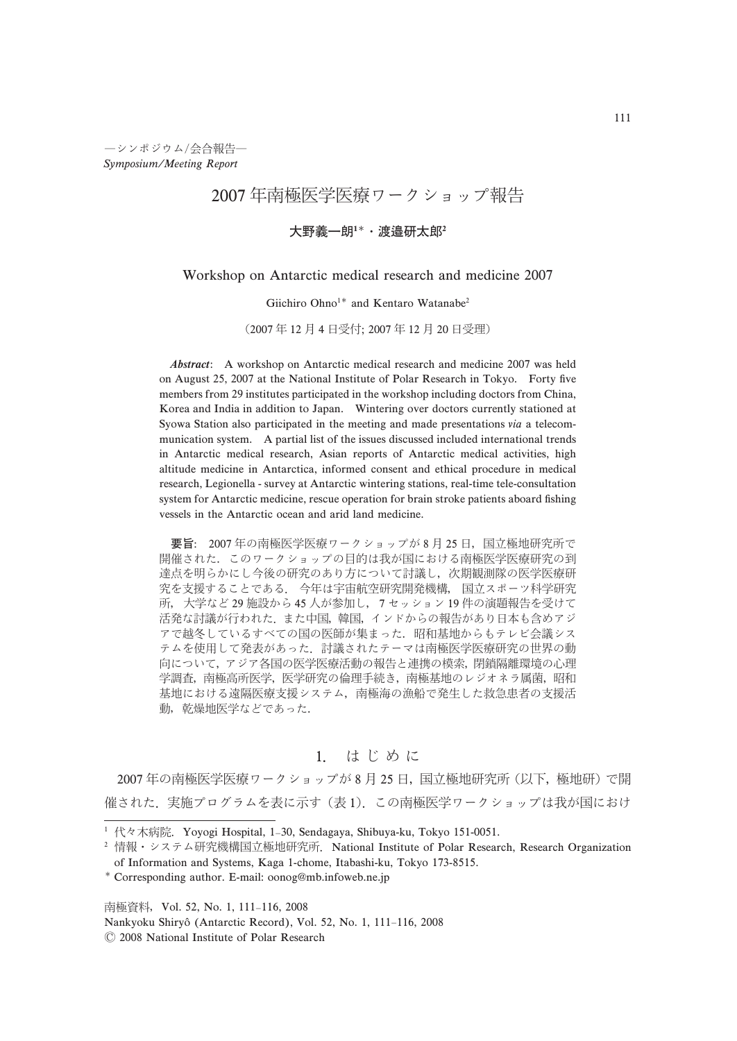$-$ シンポジウム/会合報告– Symposium/Meeting Report

# 2007年南極医学医療ワークショップ報告

### 大野義一朗1\*·渡邉研太郎

## Workshop on Antarctic medical research and medicine 2007

#### Giichiro Ohno<sup>1\*</sup> and Kentaro Watanabe<sup>2</sup>

(2007年12月4日受付; 2007年12月20日受理)

Abstract: A workshop on Antarctic medical research and medicine 2007 was held on August 25, 2007 at the National Institute of Polar Research in Tokyo. Forty five members from 29 institutes participated in the workshop including doctors from China, Korea and India in addition to Japan. Wintering over doctors currently stationed at Syowa Station also participated in the meeting and made presentations via a telecommunication system. A partial list of the issues discussed included international trends in Antarctic medical research, Asian reports of Antarctic medical activities, high altitude medicine in Antarctica, informed consent and ethical procedure in medical research, Legionella - survey at Antarctic wintering stations, real-time tele-consultation system for Antarctic medicine, rescue operation for brain stroke patients aboard fishing vessels in the Antarctic ocean and arid land medicine.

要旨: 2007年の南極医学医療ワークショップが8月25日,国立極地研究所で 開催された.このワークショップの目的は我が国における南極医学医療研究の到 達点を明らかにし今後の研究のあり方について討議し、次期観測隊の医学医療研 究を支援することである. 今年は宇宙航空研究開発機構, 国立スポーツ科学研究 所,大学など 29 施設から 45 人が参加し, 7 セッション 19 件の演題報告を受けて 活発な討議が行われた.また中国,韓国,インドからの報告があり日本も含めアジ アで越冬しているすべての国の医師が集まった。昭和基地からもテレビ会議シス テムを使用して発表があった、討議されたテーマは南極医学医療研究の世界の動 向について、アジア各国の医学医療活動の報告と連携の模索、閉鎖隔離環境の心理 学調査,南極高所医学,医学研究の倫理手続き,南極基地のレジオネラ属菌,昭和 基地における遠隔医療支援システム、南極海の漁船で発生した救急患者の支援活 動,乾燥地医学などであった.

## 1. はじめに

2007 年の南極医学医療ワークショップが 8 月 25 日,国立極地研究所(以下,極地研)で開 催された. 実施プログラムを表に示す (表1). この南極医学ワークショップは我が国におけ

南極資料, Vol. 52, No. 1, 111-116, 2008

Nankyoku Shiryô (Antarctic Record), Vol. 52, No. 1, 111-116, 2008

 $@$  2008 National Institute of Polar Research

<sup>&</sup>lt;sup>1</sup> 代々木病院. Yoyogi Hospital, 1-30, Sendagaya, Shibuya-ku, Tokyo 151-0051.

<sup>&</sup>lt;sup>2</sup> 情報・システム研究機構国立極地研究所. National Institute of Polar Research, Research Organization of Information and Systems, Kaga 1-chome, Itabashi-ku, Tokyo 173-8515.

<sup>-</sup> Corresponding author. E-mail: oonog@mb.infoweb.ne.jp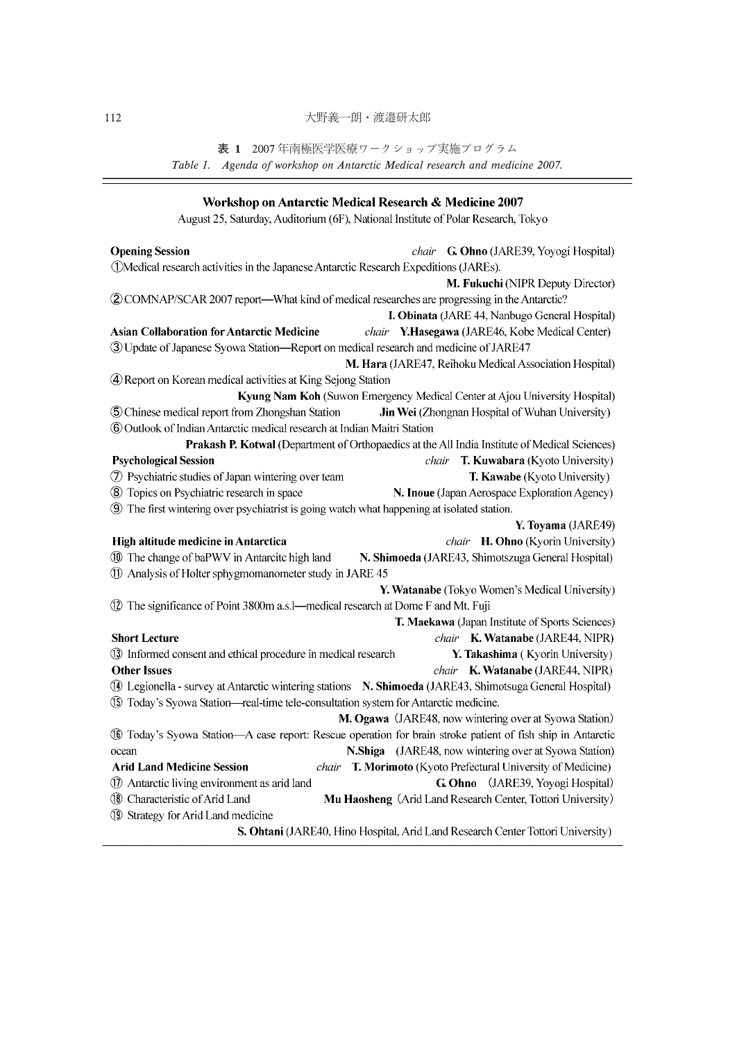表 1 2007年南極医学医療ワークショップ実施プログラム Table 1. Agenda of workshop on Antarctic Medical research and medicine 2007.

-

| Workshop on Antarctic Medical Research & Medicine 2007                                                      |  |  |                                                                                               |
|-------------------------------------------------------------------------------------------------------------|--|--|-----------------------------------------------------------------------------------------------|
| August 25, Saturday, Auditorium (6F), National Institute of Polar Research, Tokyo                           |  |  |                                                                                               |
| <b>Opening Session</b>                                                                                      |  |  | chair G. Ohno (JARE39, Yoyogi Hospital)                                                       |
| 1 OMedical research activities in the Japanese Antarctic Research Expeditions (JAREs).                      |  |  |                                                                                               |
|                                                                                                             |  |  | M. Fukuchi (NIPR Deputy Director)                                                             |
| 2 COMNAP/SCAR 2007 report—What kind of medical researches are progressing in the Antarctic?                 |  |  |                                                                                               |
|                                                                                                             |  |  | I. Obinata (JARE 44, Nanbugo General Hospital)                                                |
| <b>Asian Collaboration for Antarctic Medicine</b>                                                           |  |  | chair Y.Hasegawa (JARE46, Kobe Medical Center)                                                |
| 3) Update of Japanese Syowa Station-Report on medical research and medicine of JARE47                       |  |  |                                                                                               |
|                                                                                                             |  |  | M. Hara (JARE47, Reihoku Medical Association Hospital)                                        |
| 4 Report on Korean medical activities at King Sejong Station                                                |  |  |                                                                                               |
|                                                                                                             |  |  | Kyung Nam Koh (Suwon Emergency Medical Center at Ajou University Hospital)                    |
| 5 Chinese medical report from Zhongshan Station                                                             |  |  | Jin Wei (Zhongnan Hospital of Wuhan University)                                               |
| 6 Outlook of Indian Antarctic medical research at Indian Maitri Station                                     |  |  |                                                                                               |
|                                                                                                             |  |  | Prakash P. Kotwal (Department of Orthopaedics at the All India Institute of Medical Sciences) |
| <b>Psychological Session</b>                                                                                |  |  | chair T. Kuwabara (Kyoto University)                                                          |
| 7 Psychiatric studies of Japan wintering over team                                                          |  |  | T. Kawabe (Kyoto University)                                                                  |
| 8 Topics on Psychiatric research in space                                                                   |  |  | N. Inoue (Japan Aerospace Exploration Agency)                                                 |
| 9 The first wintering over psychiatrist is going watch what happening at isolated station.                  |  |  |                                                                                               |
|                                                                                                             |  |  | Y. Toyama (JARE49)                                                                            |
| High altitude medicine in Antarctica                                                                        |  |  | chair H. Ohno (Kyorin University)                                                             |
| 10 The change of baPWV in Antarcite high land                                                               |  |  | N. Shimoeda (JARE43, Shimotszuga General Hospital)                                            |
| 11 Analysis of Holter sphygmomanometer study in JARE 45                                                     |  |  |                                                                                               |
|                                                                                                             |  |  | Y. Watanabe (Tokyo Women's Medical University)                                                |
| 12 The significance of Point 3800m a.s. - medical research at Dome F and Mt. Fuji                           |  |  |                                                                                               |
|                                                                                                             |  |  | T. Maekawa (Japan Institute of Sports Sciences)                                               |
| <b>Short Lecture</b>                                                                                        |  |  | chair K. Watanabe (JARE44, NIPR)                                                              |
| 13 Informed consent and ethical procedure in medical research                                               |  |  | Y. Takashima (Kyorin University)                                                              |
| <b>Other Issues</b>                                                                                         |  |  | chair K. Watanabe (JARE44, NIPR)                                                              |
| 10 Legionella - survey at Antarctic wintering stations N. Shimoeda (JARE43, Shimotsuga General Hospital)    |  |  |                                                                                               |
| 15 Today's Syowa Station-real-time tele-consultation system for Antarctic medicine.                         |  |  |                                                                                               |
|                                                                                                             |  |  | M. Ogawa (JARE48, now wintering over at Syowa Station)                                        |
| 16 Today's Syowa Station-A case report: Rescue operation for brain stroke patient of fish ship in Antarctic |  |  |                                                                                               |
| ocean                                                                                                       |  |  | N.Shiga (JARE48, now wintering over at Syowa Station)                                         |
| <b>Arid Land Medicine Session</b>                                                                           |  |  | chair T. Morimoto (Kyoto Prefectural University of Medicine)                                  |
| 10 Antarctic living environment as arid land                                                                |  |  | G. Ohno (JARE39, Yoyogi Hospital)                                                             |
| <sup>1</sup> Characteristic of Arid Land                                                                    |  |  | Mu Haosheng (Arid Land Research Center, Tottori University)                                   |
| 19 Strategy for Arid Land medicine                                                                          |  |  |                                                                                               |
|                                                                                                             |  |  | S. Ohtani (JARE40, Hino Hospital, Arid Land Research Center Tottori University)               |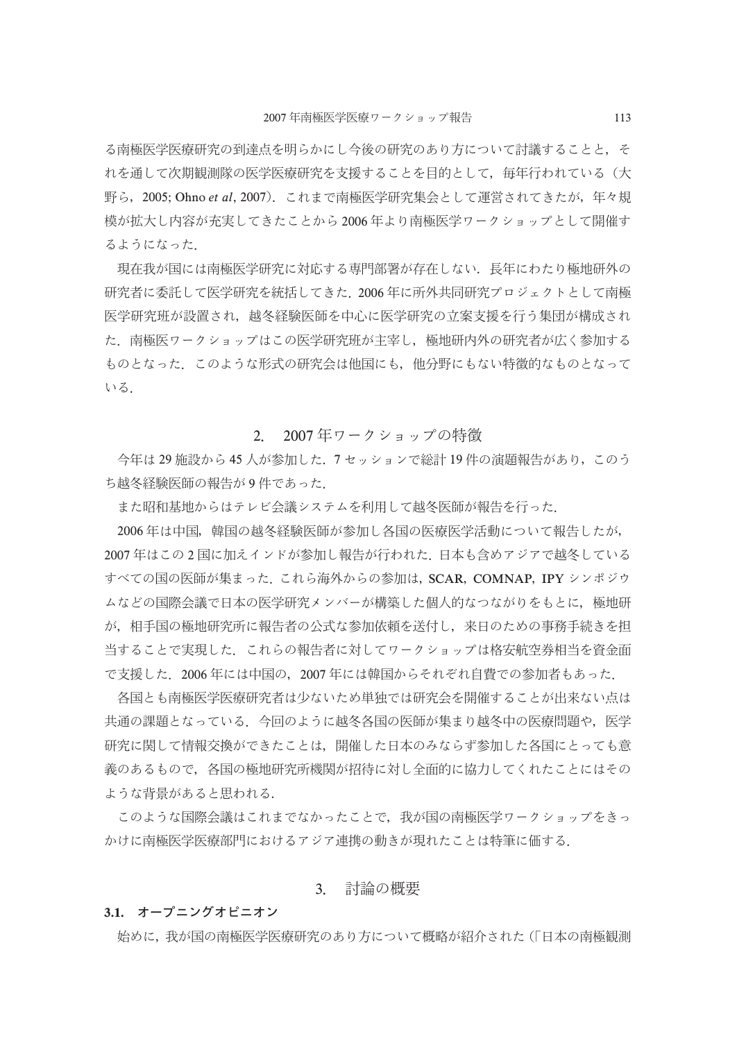る南極医学医療研究の到達点を明らかにし今後の研究のあり方について討議することと、そ れを通して次期観測隊の医学医療研究を支援することを目的として、毎年行われている(大 野ら, 2005; Ohno et al. 2007). これまで南極医学研究集会として運営されてきたが, 年々規 模が拡大し内容が充実してきたことから2006年より南極医学ワークショップとして開催す るようになった.

現在我が国には南極医学研究に対応する専門部署が存在しない。長年にわたり極地研外の 研究者に委託して医学研究を統括してきた.2006 年に所外共同研究プロジェクトとして南極 医学研究班が設置され、越冬経験医師を中心に医学研究の立案支援を行う集団が構成され た、南極医ワークショップはこの医学研究班が主宰し、極地研内外の研究者が広く参加する ものとなった、このような形式の研究会は他国にも、他分野にもない特徴的なものとなって いる.

#### 2007年ワークショップの特徴  $2^{\circ}$

今年は29施設から45人が参加した. 7セッションで総計19件の演題報告があり、このう ち越冬経験医師の報告が9件であった.

また昭和基地からはテレビ会議システムを利用して越冬医師が報告を行った.

2006年は中国、韓国の越冬経験医師が参加し各国の医療医学活動について報告したが、 2007年はこの2国に加えインドが参加し報告が行われた. 日本も含めアジアで越冬している すべての国の医師が集まった. これら海外からの参加は, SCAR, COMNAP, IPY シンポジウ ムなどの国際会議で日本の医学研究メンバーが構築した個人的なつながりをもとに、極地研 が、相手国の極地研究所に報告者の公式な参加依頼を送付し、来日のための事務手続きを担 当することで実現した、これらの報告者に対してワークショップは格安航空券相当を資金面 で支援した. 2006年には中国の, 2007年には韓国からそれぞれ自費での参加者もあった.

各国とも南極医学医療研究者は少ないため単独では研究会を開催することが出来ない点は 共通の課題となっている、今回のように越冬各国の医師が集まり越冬中の医療問題や、医学 研究に関して情報交換ができたことは,開催した日本のみならず参加した各国にとっても意 義のあるもので,各国の極地研究所機関が招待に対し全面的に協力してくれたことにはその ような背景があると思われる.

このような国際会議はこれまでなかったことで,我が国の南極医学ワークショップをきっ かけに南極医学医療部門におけるアジア連携の動きが現れたことは特筆に価する.

### 3. 討論の概要

#### 3.1. オープニングオピニオン

始めに、我が国の南極医学医療研究のあり方について概略が紹介された (「日本の南極観測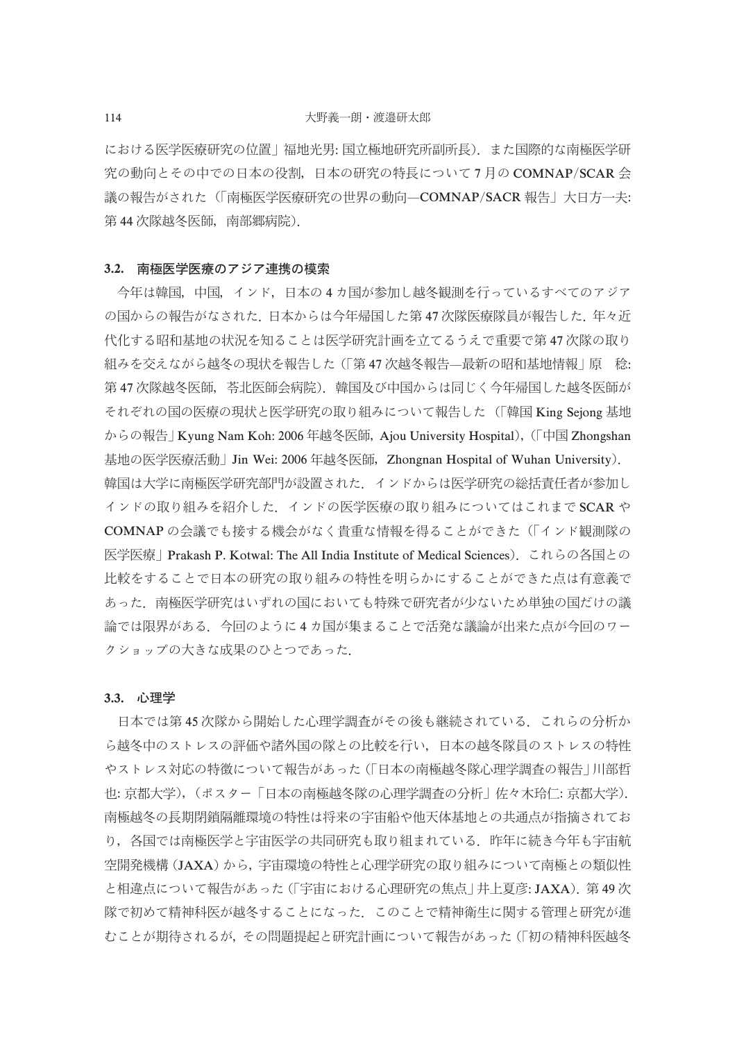における医学医療研究の位置 | 福地光男: 国立極地研究所副所長). また国際的な南極医学研 究の動向とその中での日本の役割、日本の研究の特長について7月のCOMNAP/SCAR会 議の報告がされた(「南極医学医療研究の世界の動向—COMNAP/SACR 報告」大日方一夫: 第44次隊越冬医師,南部郷病院).

#### 3.2. 南極医学医療のアジア連携の模索

今年は韓国,中国,インド,日本の4カ国が参加し越冬観測を行っているすべてのアジア の国からの報告がなされた。日本からは今年帰国した第47次隊医療隊員が報告した。年々近 代化する昭和基地の状況を知ることは医学研究計画を立てるうえで重要で第 47 次隊の取り 組みを交えながら越冬の現状を報告した (「第47次越冬報告–最新の昭和基地情報 | 原 稔: 第47次隊越冬医師, 苓北医師会病院). 韓国及び中国からは同じく今年帰国した越冬医師が それぞれの国の医療の現状と医学研究の取り組みについて報告した (「韓国 King Sejong 基地 からの報告」 Kyung Nam Koh: 2006 年越冬医師, Ajou University Hospital), (「中国 Zhongshan 基地の医学医療活動 | Jin Wei: 2006 年越冬医師, Zhongnan Hospital of Wuhan University). 韓国は大学に南極医学研究部門が設置された.インドからは医学研究の総括責任者が参加し インドの取り組みを紹介した. インドの医学医療の取り組みについてはこれまで SCAR や COMNAP の会議でも接する機会がなく貴重な情報を得ることができた(「インド観測隊の 医学医療|Prakash P. Kotwal: The All India Institute of Medical Sciences) これらの各国との 比較をすることで日本の研究の取り組みの特性を明らかにすることができた点は有意義で あった、南極医学研究はいずれの国においても特殊で研究者が少ないため単独の国だけの議 論では限界がある、今回のように4カ国が集まることで活発な議論が出来た点が今回のワー クショップの大きな成果のひとつであった.

#### 3.3. 心理学

日本では第45次隊から開始した心理学調査がその後も継続されている。これらの分析か ら越冬中のストレスの評価や諸外国の隊との比較を行い,日本の越冬隊員のストレスの特性 やストレス対応の特徴について報告があった(「日本の南極越冬隊心理学調査の報告」川部哲 也: 京都大学),(ポスター「日本の南極越冬隊の心理学調査の分析」佐々木玲仁: 京都大学). 南極越冬の長期閉鎖隔離環境の特性は将来の宇宙船や他天体基地との共通点が指摘されてお り,各国では南極医学と宇宙医学の共同研究も取り組まれている.昨年に続き今年も宇宙航 空開発機構(JAXA)から、宇宙環境の特性と心理学研究の取り組みについて南極との類似性 と相違点について報告があった (「宇宙における心理研究の焦点」井上夏彦: JAXA). 第49次 隊で初めて精神科医が越冬することになった.このことで精神衛生に関する管理と研究が進 むことが期待されるが、その問題提起と研究計画について報告があった(「初の精神科医越冬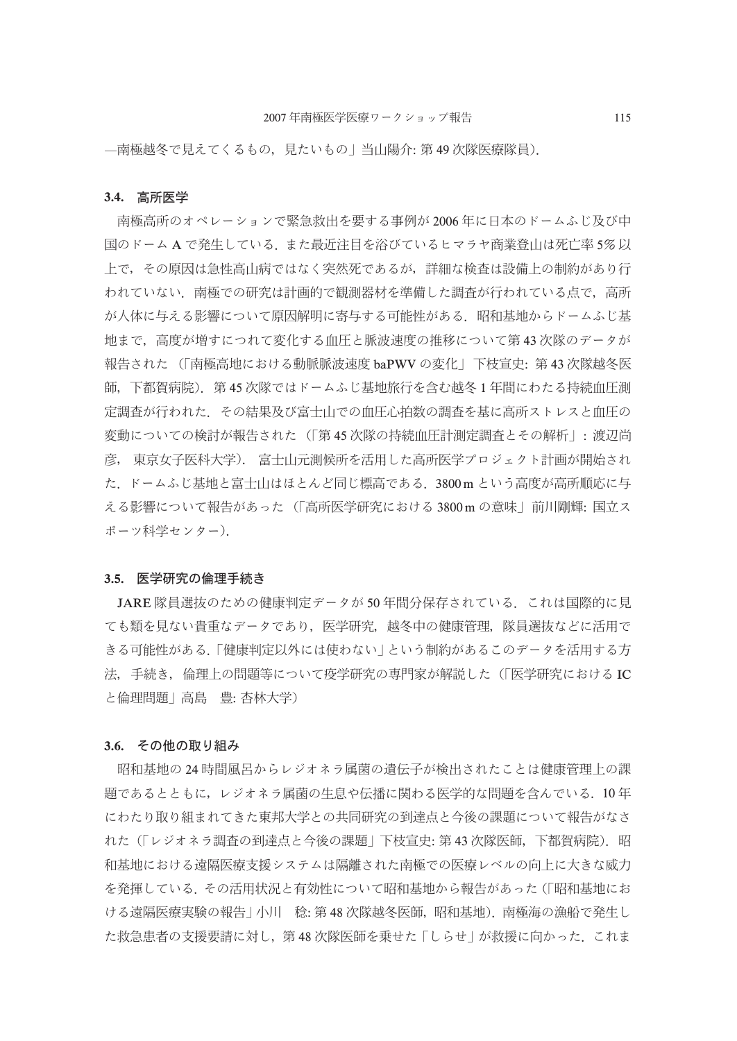- 南極越冬で見えてくるもの、見たいもの | 当山陽介: 第49次隊医療隊員).

#### 3.4. 高所医学

南極高所のオペレーションで緊急救出を要する事例が2006年に日本のドームふじ及び中 国のドーム A で発生している. また最近注目を浴びているヒマラヤ商業登山は死亡率 5%以 上で、その原因は急性高山病ではなく突然死であるが、詳細な検査は設備上の制約があり行 われていない.南極での研究は計画的で観測器材を準備した調査が行われている点で,高所 が人体に与える影響について原因解明に寄与する可能性がある。昭和基地からドームふじ基 地まで、高度が増すにつれて変化する血圧と脈波速度の推移について第43次隊のデータが 報告された (「南極高地における動脈脈波速度 baPWV の変化 | 下枝宣史: 第 43 次隊越冬医 師,下都賀病院).第 45 次隊ではドームふじ基地旅行を含む越冬 1 年間にわたる持続血圧測 定調査が行われた. その結果及び富士山での血圧心拍数の調査を基に高所ストレスと血圧の 変動についての検討が報告された (「第45次隊の持続血圧計測定調査とその解析」:渡辺尚 |彦, 東京女子医科大学). 富士山元測候所を活用した高所医学プロジェクト計画が開始され た. ドームふじ基地と富士山はほとんど同じ標高である. 3800m という高度が高所順応に与 える影響について報告があった (「高所医学研究における 3800m の意味」前川剛輝: 国立ス ポーツ科学センター).

#### 3.5. 医学研究の倫理手続き

JARE 隊員選抜のための健康判定データが 50年間分保存されている. これは国際的に見 ても類を見ない貴重なデータであり、医学研究、越冬中の健康管理、隊員選抜などに活用で きる可能性がある.「健康判定以外には使わない」という制約があるこのデータを活用する方 法,手続き,倫理上の問題等について疫学研究の専門家が解説した(「医学研究における IC と倫理問題|高島 豊: 杏林大学)

#### 3.6. その他の取り組み

昭和基地の24時間風呂からレジオネラ属菌の遺伝子が検出されたことは健康管理上の課 題であるとともに,レジオネラ属菌の生息や伝播に関わる医学的な問題を含んでいる.10 年 にわたり取り組まれてきた東邦大学との共同研究の到達点と今後の課題について報告がなさ れた(「レジオネラ調査の到達点と今後の課題」下枝宣史: 第 43 次隊医師,下都賀病院).昭 和基地における遠隔医療支援システムは隔離された南極での医療レベルの向上に大きな威力 を発揮している。その活用状況と有効性について昭和基地から報告があった(「昭和基地にお ける遠隔医療実験の報告 | 小川 稔: 第 48 次隊越冬医師,昭和基地).南極海の漁船で発生し た救急患者の支援要請に対し、第48次隊医師を乗せた「しらせ」が救援に向かった. これま